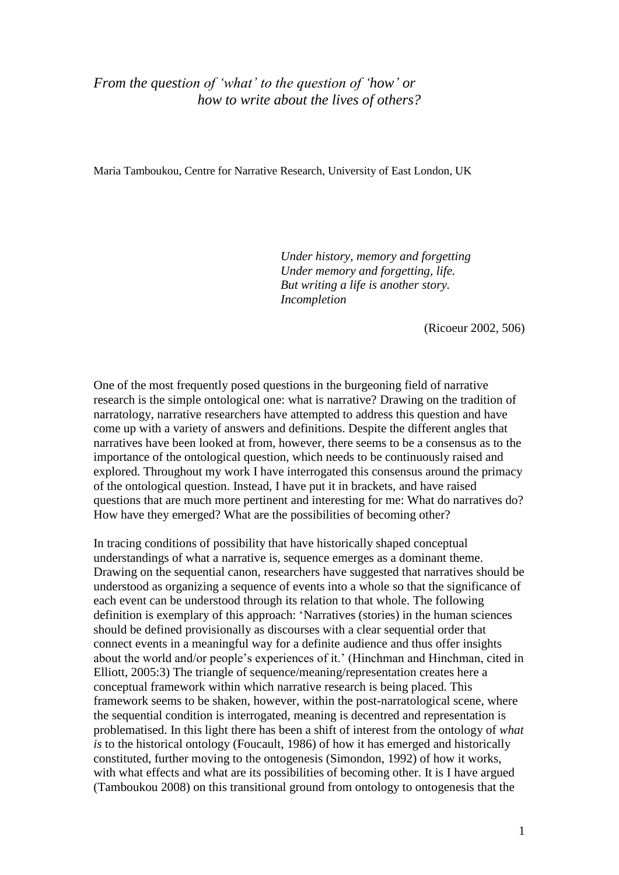*From the question of 'what' to the question of 'how' or how to write about the lives of others?*

Maria Tamboukou, Centre for Narrative Research, University of East London, UK

*Under history, memory and forgetting Under memory and forgetting, life. But writing a life is another story. Incompletion*

(Ricoeur 2002*,* 506)

One of the most frequently posed questions in the burgeoning field of narrative research is the simple ontological one: what is narrative? Drawing on the tradition of narratology, narrative researchers have attempted to address this question and have come up with a variety of answers and definitions. Despite the different angles that narratives have been looked at from, however, there seems to be a consensus as to the importance of the ontological question, which needs to be continuously raised and explored. Throughout my work I have interrogated this consensus around the primacy of the ontological question. Instead, I have put it in brackets, and have raised questions that are much more pertinent and interesting for me: What do narratives do? How have they emerged? What are the possibilities of becoming other?

In tracing conditions of possibility that have historically shaped conceptual understandings of what a narrative is, sequence emerges as a dominant theme. Drawing on the sequential canon, researchers have suggested that narratives should be understood as organizing a sequence of events into a whole so that the significance of each event can be understood through its relation to that whole. The following definition is exemplary of this approach: 'Narratives (stories) in the human sciences should be defined provisionally as discourses with a clear sequential order that connect events in a meaningful way for a definite audience and thus offer insights about the world and/or people's experiences of it.' (Hinchman and Hinchman, cited in Elliott, 2005:3) The triangle of sequence/meaning/representation creates here a conceptual framework within which narrative research is being placed. This framework seems to be shaken, however, within the post-narratological scene, where the sequential condition is interrogated, meaning is decentred and representation is problematised. In this light there has been a shift of interest from the ontology of *what is* to the historical ontology (Foucault, 1986) of how it has emerged and historically constituted, further moving to the ontogenesis (Simondon, 1992) of how it works, with what effects and what are its possibilities of becoming other. It is I have argued (Tamboukou 2008) on this transitional ground from ontology to ontogenesis that the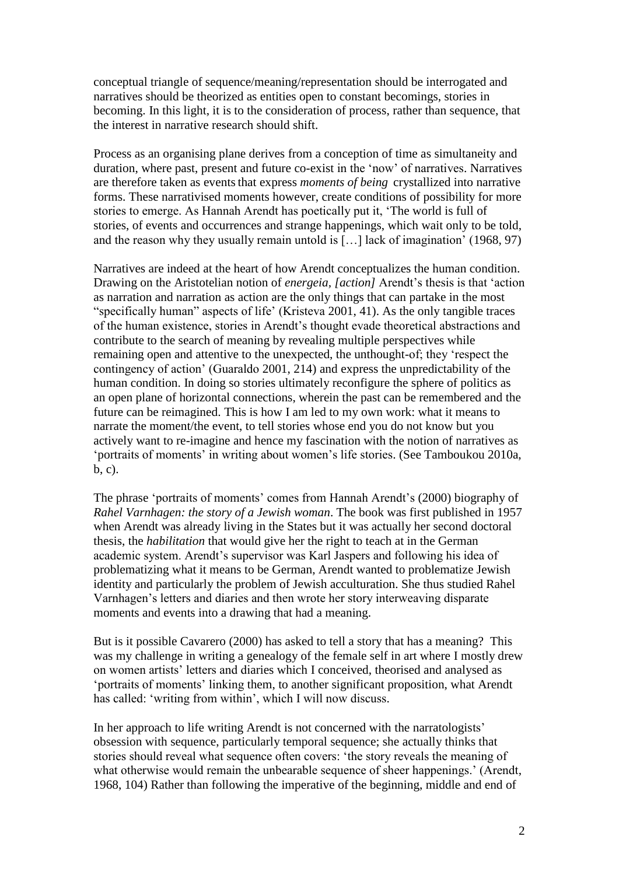conceptual triangle of sequence/meaning/representation should be interrogated and narratives should be theorized as entities open to constant becomings, stories in becoming. In this light, it is to the consideration of process, rather than sequence, that the interest in narrative research should shift.

Process as an organising plane derives from a conception of time as simultaneity and duration, where past, present and future co-exist in the 'now' of narratives. Narratives are therefore taken as events that express *moments of being* crystallized into narrative forms. These narrativised moments however, create conditions of possibility for more stories to emerge. As Hannah Arendt has poetically put it, 'The world is full of stories, of events and occurrences and strange happenings, which wait only to be told, and the reason why they usually remain untold is […] lack of imagination' (1968, 97)

Narratives are indeed at the heart of how Arendt conceptualizes the human condition. Drawing on the Aristotelian notion of *energeia, [action]* Arendt's thesis is that 'action as narration and narration as action are the only things that can partake in the most "specifically human" aspects of life' (Kristeva 2001, 41). As the only tangible traces of the human existence, stories in Arendt's thought evade theoretical abstractions and contribute to the search of meaning by revealing multiple perspectives while remaining open and attentive to the unexpected, the unthought-of; they 'respect the contingency of action' (Guaraldo 2001, 214) and express the unpredictability of the human condition. In doing so stories ultimately reconfigure the sphere of politics as an open plane of horizontal connections, wherein the past can be remembered and the future can be reimagined. This is how I am led to my own work: what it means to narrate the moment/the event, to tell stories whose end you do not know but you actively want to re-imagine and hence my fascination with the notion of narratives as 'portraits of moments' in writing about women's life stories. (See Tamboukou 2010a, b, c).

The phrase 'portraits of moments' comes from Hannah Arendt's (2000) biography of *Rahel Varnhagen: the story of a Jewish woman*. The book was first published in 1957 when Arendt was already living in the States but it was actually her second doctoral thesis, the *habilitation* that would give her the right to teach at in the German academic system. Arendt's supervisor was Karl Jaspers and following his idea of problematizing what it means to be German, Arendt wanted to problematize Jewish identity and particularly the problem of Jewish acculturation. She thus studied Rahel Varnhagen's letters and diaries and then wrote her story interweaving disparate moments and events into a drawing that had a meaning.

But is it possible Cavarero (2000) has asked to tell a story that has a meaning? This was my challenge in writing a genealogy of the female self in art where I mostly drew on women artists' letters and diaries which I conceived, theorised and analysed as 'portraits of moments' linking them, to another significant proposition, what Arendt has called: 'writing from within', which I will now discuss.

In her approach to life writing Arendt is not concerned with the narratologists' obsession with sequence, particularly temporal sequence; she actually thinks that stories should reveal what sequence often covers: 'the story reveals the meaning of what otherwise would remain the unbearable sequence of sheer happenings.' (Arendt, 1968, 104) Rather than following the imperative of the beginning, middle and end of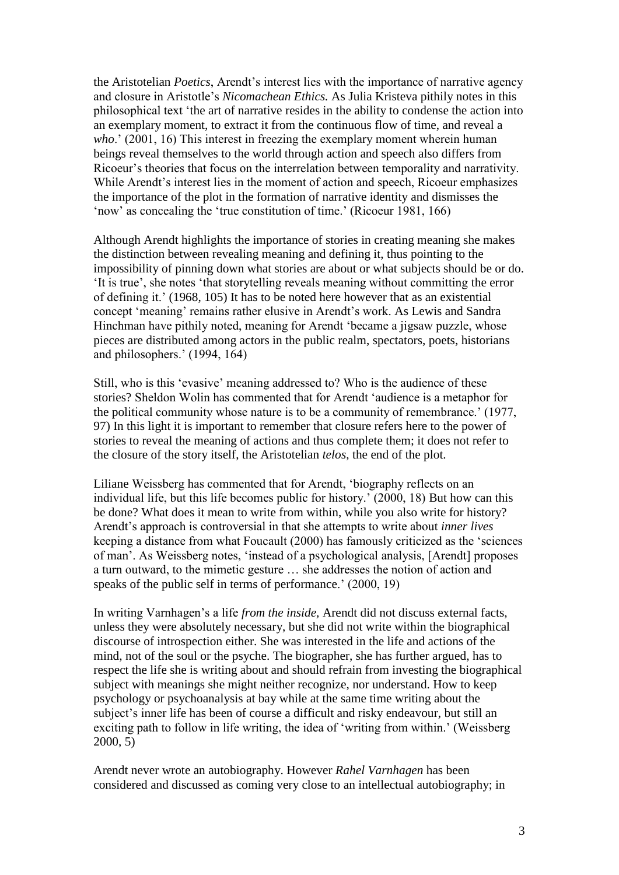the Aristotelian *Poetics*, Arendt's interest lies with the importance of narrative agency and closure in Aristotle's *Nicomachean Ethics.* As Julia Kristeva pithily notes in this philosophical text 'the art of narrative resides in the ability to condense the action into an exemplary moment, to extract it from the continuous flow of time, and reveal a *who*.' (2001, 16) This interest in freezing the exemplary moment wherein human beings reveal themselves to the world through action and speech also differs from Ricoeur's theories that focus on the interrelation between temporality and narrativity. While Arendt's interest lies in the moment of action and speech, Ricoeur emphasizes the importance of the plot in the formation of narrative identity and dismisses the 'now' as concealing the 'true constitution of time.' (Ricoeur 1981, 166)

Although Arendt highlights the importance of stories in creating meaning she makes the distinction between revealing meaning and defining it, thus pointing to the impossibility of pinning down what stories are about or what subjects should be or do. 'It is true', she notes 'that storytelling reveals meaning without committing the error of defining it.' (1968, 105) It has to be noted here however that as an existential concept 'meaning' remains rather elusive in Arendt's work. As Lewis and Sandra Hinchman have pithily noted, meaning for Arendt 'became a jigsaw puzzle, whose pieces are distributed among actors in the public realm, spectators, poets, historians and philosophers.' (1994, 164)

Still, who is this 'evasive' meaning addressed to? Who is the audience of these stories? Sheldon Wolin has commented that for Arendt 'audience is a metaphor for the political community whose nature is to be a community of remembrance.' (1977, 97) In this light it is important to remember that closure refers here to the power of stories to reveal the meaning of actions and thus complete them; it does not refer to the closure of the story itself, the Aristotelian *telos*, the end of the plot.

Liliane Weissberg has commented that for Arendt, 'biography reflects on an individual life, but this life becomes public for history.' (2000, 18) But how can this be done? What does it mean to write from within, while you also write for history? Arendt's approach is controversial in that she attempts to write about *inner lives* keeping a distance from what Foucault (2000) has famously criticized as the 'sciences of man'. As Weissberg notes, 'instead of a psychological analysis, [Arendt] proposes a turn outward, to the mimetic gesture … she addresses the notion of action and speaks of the public self in terms of performance.' (2000, 19)

In writing Varnhagen's a life *from the inside,* Arendt did not discuss external facts, unless they were absolutely necessary, but she did not write within the biographical discourse of introspection either. She was interested in the life and actions of the mind, not of the soul or the psyche. The biographer, she has further argued, has to respect the life she is writing about and should refrain from investing the biographical subject with meanings she might neither recognize, nor understand. How to keep psychology or psychoanalysis at bay while at the same time writing about the subject's inner life has been of course a difficult and risky endeavour, but still an exciting path to follow in life writing, the idea of 'writing from within.' (Weissberg 2000, 5)

Arendt never wrote an autobiography. However *Rahel Varnhagen* has been considered and discussed as coming very close to an intellectual autobiography; in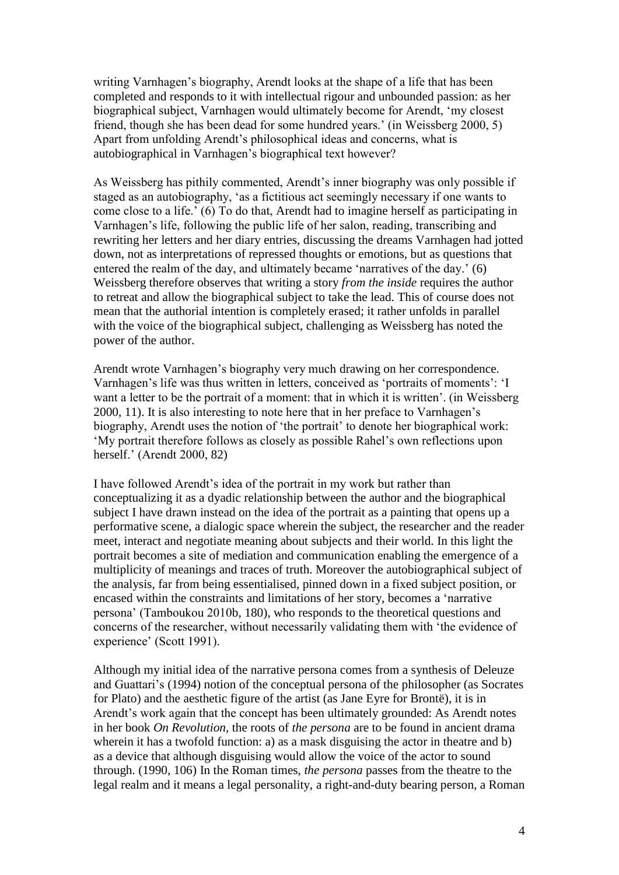writing Varnhagen's biography, Arendt looks at the shape of a life that has been completed and responds to it with intellectual rigour and unbounded passion: as her biographical subject, Varnhagen would ultimately become for Arendt, 'my closest friend, though she has been dead for some hundred years.' (in Weissberg 2000, 5) Apart from unfolding Arendt's philosophical ideas and concerns, what is autobiographical in Varnhagen's biographical text however?

As Weissberg has pithily commented, Arendt's inner biography was only possible if staged as an autobiography, 'as a fictitious act seemingly necessary if one wants to come close to a life.' (6) To do that, Arendt had to imagine herself as participating in Varnhagen's life, following the public life of her salon, reading, transcribing and rewriting her letters and her diary entries, discussing the dreams Varnhagen had jotted down, not as interpretations of repressed thoughts or emotions, but as questions that entered the realm of the day, and ultimately became 'narratives of the day.' (6) Weissberg therefore observes that writing a story *from the inside* requires the author to retreat and allow the biographical subject to take the lead. This of course does not mean that the authorial intention is completely erased; it rather unfolds in parallel with the voice of the biographical subject, challenging as Weissberg has noted the power of the author.

Arendt wrote Varnhagen's biography very much drawing on her correspondence. Varnhagen's life was thus written in letters, conceived as 'portraits of moments': 'I want a letter to be the portrait of a moment: that in which it is written'. (in Weissberg 2000, 11). It is also interesting to note here that in her preface to Varnhagen's biography, Arendt uses the notion of 'the portrait' to denote her biographical work: 'My portrait therefore follows as closely as possible Rahel's own reflections upon herself.' (Arendt 2000, 82)

I have followed Arendt's idea of the portrait in my work but rather than conceptualizing it as a dyadic relationship between the author and the biographical subject I have drawn instead on the idea of the portrait as a painting that opens up a performative scene, a dialogic space wherein the subject, the researcher and the reader meet, interact and negotiate meaning about subjects and their world. In this light the portrait becomes a site of mediation and communication enabling the emergence of a multiplicity of meanings and traces of truth. Moreover the autobiographical subject of the analysis, far from being essentialised, pinned down in a fixed subject position, or encased within the constraints and limitations of her story, becomes a 'narrative persona' (Tamboukou 2010b, 180), who responds to the theoretical questions and concerns of the researcher, without necessarily validating them with 'the evidence of experience' (Scott 1991).

Although my initial idea of the narrative persona comes from a synthesis of Deleuze and Guattari's (1994) notion of the conceptual persona of the philosopher (as Socrates for Plato) and the aesthetic figure of the artist (as Jane Eyre for Brontë), it is in Arendt's work again that the concept has been ultimately grounded: As Arendt notes in her book *On Revolution,* the roots of *the persona* are to be found in ancient drama wherein it has a twofold function: a) as a mask disguising the actor in theatre and b) as a device that although disguising would allow the voice of the actor to sound through. (1990*,* 106) In the Roman times, *the persona* passes from the theatre to the legal realm and it means a legal personality, a right-and-duty bearing person, a Roman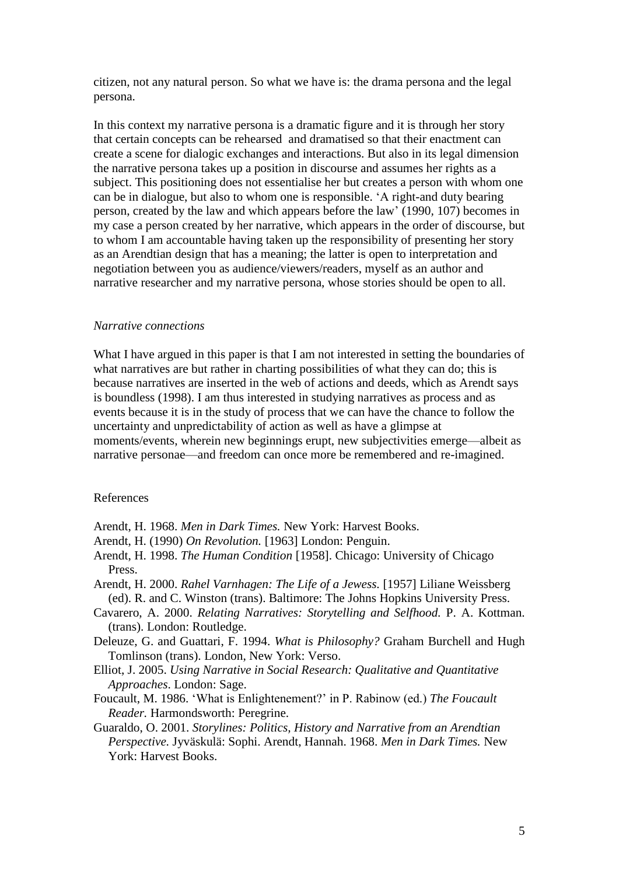citizen, not any natural person. So what we have is: the drama persona and the legal persona.

In this context my narrative persona is a dramatic figure and it is through her story that certain concepts can be rehearsed and dramatised so that their enactment can create a scene for dialogic exchanges and interactions. But also in its legal dimension the narrative persona takes up a position in discourse and assumes her rights as a subject. This positioning does not essentialise her but creates a person with whom one can be in dialogue, but also to whom one is responsible. 'A right-and duty bearing person, created by the law and which appears before the law' (1990*,* 107) becomes in my case a person created by her narrative, which appears in the order of discourse, but to whom I am accountable having taken up the responsibility of presenting her story as an Arendtian design that has a meaning; the latter is open to interpretation and negotiation between you as audience/viewers/readers, myself as an author and narrative researcher and my narrative persona, whose stories should be open to all.

## *Narrative connections*

What I have argued in this paper is that I am not interested in setting the boundaries of what narratives are but rather in charting possibilities of what they can do; this is because narratives are inserted in the web of actions and deeds, which as Arendt says is boundless (1998). I am thus interested in studying narratives as process and as events because it is in the study of process that we can have the chance to follow the uncertainty and unpredictability of action as well as have a glimpse at moments/events, wherein new beginnings erupt, new subjectivities emerge—albeit as narrative personae—and freedom can once more be remembered and re-imagined.

## References

Arendt, H. 1968. *Men in Dark Times.* New York: Harvest Books.

- Arendt, H. (1990) *On Revolution.* [1963] London: Penguin.
- Arendt, H. 1998. *The Human Condition* [1958]. Chicago: University of Chicago Press.
- Arendt, H. 2000. *Rahel Varnhagen: The Life of a Jewess.* [1957] Liliane Weissberg (ed). R. and C. Winston (trans). Baltimore: The Johns Hopkins University Press.
- Cavarero, A. 2000. *Relating Narratives: Storytelling and Selfhood.* P. A. Kottman. (trans). London: Routledge.
- Deleuze, G. and Guattari, F. 1994. *What is Philosophy?* Graham Burchell and Hugh Tomlinson (trans). London, New York: Verso.
- Elliot, J. 2005. *Using Narrative in Social Research: Qualitative and Quantitative Approaches*. London: Sage.
- Foucault, M. 1986. 'What is Enlightenement?' in P. Rabinow (ed.) *The Foucault Reader.* Harmondsworth: Peregrine.
- Guaraldo, O. 2001. *Storylines: Politics, History and Narrative from an Arendtian Perspective.* Jyväskulä: Sophi. Arendt, Hannah. 1968. *Men in Dark Times.* New York: Harvest Books.